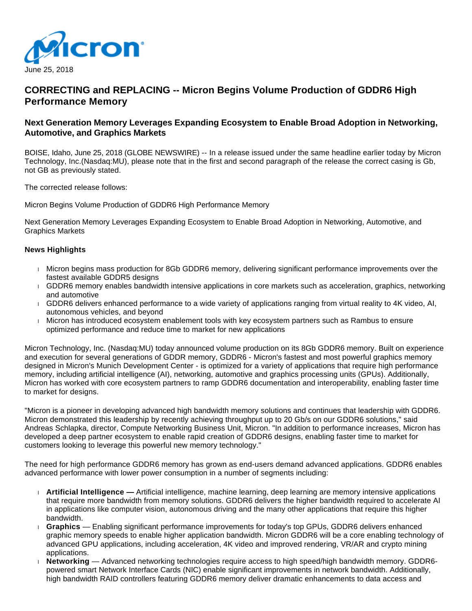

# **CORRECTING and REPLACING -- Micron Begins Volume Production of GDDR6 High Performance Memory**

## **Next Generation Memory Leverages Expanding Ecosystem to Enable Broad Adoption in Networking, Automotive, and Graphics Markets**

BOISE, Idaho, June 25, 2018 (GLOBE NEWSWIRE) -- In a release issued under the same headline earlier today by Micron Technology, Inc.(Nasdaq:MU), please note that in the first and second paragraph of the release the correct casing is Gb, not GB as previously stated.

The corrected release follows:

Micron Begins Volume Production of GDDR6 High Performance Memory

Next Generation Memory Leverages Expanding Ecosystem to Enable Broad Adoption in Networking, Automotive, and Graphics Markets

#### **News Highlights**

- Micron begins mass production for 8Gb GDDR6 memory, delivering significant performance improvements over the fastest available GDDR5 designs
- GDDR6 memory enables bandwidth intensive applications in core markets such as acceleration, graphics, networking and automotive
- GDDR6 delivers enhanced performance to a wide variety of applications ranging from virtual reality to 4K video, AI, autonomous vehicles, and beyond
- Micron has introduced ecosystem enablement tools with key ecosystem partners such as Rambus to ensure optimized performance and reduce time to market for new applications

Micron Technology, Inc. (Nasdaq:MU) today announced volume production on its 8Gb GDDR6 memory. Built on experience and execution for several generations of GDDR memory, GDDR6 - Micron's fastest and most powerful graphics memory designed in Micron's Munich Development Center - is optimized for a variety of applications that require high performance memory, including artificial intelligence (AI), networking, automotive and graphics processing units (GPUs). Additionally, Micron has worked with core ecosystem partners to ramp GDDR6 documentation and interoperability, enabling faster time to market for designs.

"Micron is a pioneer in developing advanced high bandwidth memory solutions and continues that leadership with GDDR6. Micron demonstrated this leadership by recently achieving throughput up to 20 Gb/s on our GDDR6 solutions," said Andreas Schlapka, director, Compute Networking Business Unit, Micron. "In addition to performance increases, Micron has developed a deep partner ecosystem to enable rapid creation of GDDR6 designs, enabling faster time to market for customers looking to leverage this powerful new memory technology."

The need for high performance GDDR6 memory has grown as end-users demand advanced applications. GDDR6 enables advanced performance with lower power consumption in a number of segments including:

- **Artificial Intelligence —** Artificial intelligence, machine learning, deep learning are memory intensive applications that require more bandwidth from memory solutions. GDDR6 delivers the higher bandwidth required to accelerate AI in applications like computer vision, autonomous driving and the many other applications that require this higher bandwidth.
- **Graphics** Enabling significant performance improvements for today's top GPUs, GDDR6 delivers enhanced graphic memory speeds to enable higher application bandwidth. Micron GDDR6 will be a core enabling technology of advanced GPU applications, including acceleration, 4K video and improved rendering, VR/AR and crypto mining applications.
- **Networking** Advanced networking technologies require access to high speed/high bandwidth memory. GDDR6 powered smart Network Interface Cards (NIC) enable significant improvements in network bandwidth. Additionally, high bandwidth RAID controllers featuring GDDR6 memory deliver dramatic enhancements to data access and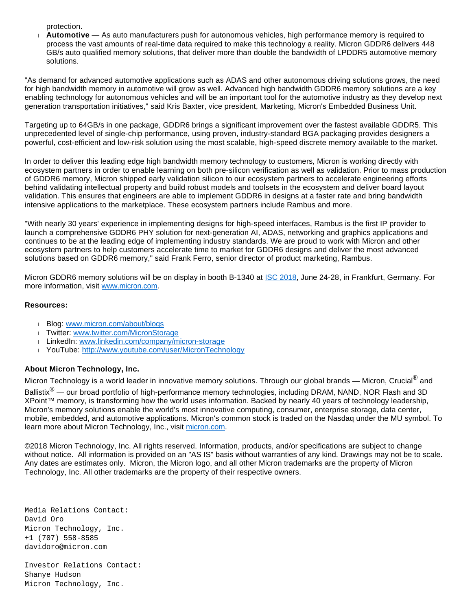protection.

 **Automotive** — As auto manufacturers push for autonomous vehicles, high performance memory is required to process the vast amounts of real-time data required to make this technology a reality. Micron GDDR6 delivers 448 GB/s auto qualified memory solutions, that deliver more than double the bandwidth of LPDDR5 automotive memory solutions.

"As demand for advanced automotive applications such as ADAS and other autonomous driving solutions grows, the need for high bandwidth memory in automotive will grow as well. Advanced high bandwidth GDDR6 memory solutions are a key enabling technology for autonomous vehicles and will be an important tool for the automotive industry as they develop next generation transportation initiatives," said Kris Baxter, vice president, Marketing, Micron's Embedded Business Unit.

Targeting up to 64GB/s in one package, GDDR6 brings a significant improvement over the fastest available GDDR5. This unprecedented level of single-chip performance, using proven, industry-standard BGA packaging provides designers a powerful, cost-efficient and low-risk solution using the most scalable, high-speed discrete memory available to the market.

In order to deliver this leading edge high bandwidth memory technology to customers, Micron is working directly with ecosystem partners in order to enable learning on both pre-silicon verification as well as validation. Prior to mass production of GDDR6 memory, Micron shipped early validation silicon to our ecosystem partners to accelerate engineering efforts behind validating intellectual property and build robust models and toolsets in the ecosystem and deliver board layout validation. This ensures that engineers are able to implement GDDR6 in designs at a faster rate and bring bandwidth intensive applications to the marketplace. These ecosystem partners include Rambus and more.

"With nearly 30 years' experience in implementing designs for high-speed interfaces, Rambus is the first IP provider to launch a comprehensive GDDR6 PHY solution for next-generation AI, ADAS, networking and graphics applications and continues to be at the leading edge of implementing industry standards. We are proud to work with Micron and other ecosystem partners to help customers accelerate time to market for GDDR6 designs and deliver the most advanced solutions based on GDDR6 memory," said Frank Ferro, senior director of product marketing, Rambus.

Micron GDDR6 memory solutions will be on display in booth B-1340 at [ISC 2018,](https://www.globenewswire.com/Tracker?data=Z6X0CAWBMAnw3guy04EjE_Bcq6Hah2UvMneSrCaVaFujzBne3lCcyb7W5dHdWSNqfd3T3o_Yf2DpdXl_mWql7Q==) June 24-28, in Frankfurt, Germany. For more information, visit [www.micron.com](https://www.globenewswire.com/Tracker?data=jUaEq3b12-1z6yYFLf0WUgml769G47eCi-ylRHWoXhsXt4Rc7IAGbsQ4i2J7N4wN_93Eq0oDhaX7qZjKTq-PWQ==).

#### **Resources:**

- Blog: [www.micron.com/about/blogs](http://www.micron.com/about/blogs)
- I Twitter: [www.twitter.com/MicronStorage](http://www.twitter.com/MicronStorage)
- LinkedIn: [www.linkedin.com/company/micron-storage](http://www.linkedin.com/company/micron-storage)
- YouTube:<http://www.youtube.com/user/MicronTechnology>

### **About Micron Technology, Inc.**

Micron Technology is a world leader in innovative memory solutions. Through our global brands — Micron, Crucial $^{\circledR}$  and

Ballistix<sup>®</sup> — our broad portfolio of high-performance memory technologies, including DRAM, NAND, NOR Flash and 3D XPoint™ memory, is transforming how the world uses information. Backed by nearly 40 years of technology leadership, Micron's memory solutions enable the world's most innovative computing, consumer, enterprise storage, data center, mobile, embedded, and automotive applications. Micron's common stock is traded on the Nasdaq under the MU symbol. To learn more about Micron Technology, Inc., visit [micron.com.](https://www.globenewswire.com/Tracker?data=zejDOWFuSBp0c-ALmx2BC8Skc-uEmcMATuFumJg6o6cnELBqGpEsdmHfV-dcDhdpW82_VBdnHWoI5cfbhGz2COdas5T2QnxK-YPnj9Bpg07t-2ufnKx0NRymbNDp51wqzoc_htcMPDdtZt0BFlGuvRVkkegQXQ8Zu8eM_-2z6Huh06dBys4ev-XgUzNDb8xxOLyFMBMsUzGs4cPGbj6fdzw9YA9O7eJAOoJpaBKSXS8=)

©2018 Micron Technology, Inc. All rights reserved. Information, products, and/or specifications are subject to change without notice. All information is provided on an "AS IS" basis without warranties of any kind. Drawings may not be to scale. Any dates are estimates only. Micron, the Micron logo, and all other Micron trademarks are the property of Micron Technology, Inc. All other trademarks are the property of their respective owners.

Media Relations Contact: David Oro Micron Technology, Inc. +1 (707) 558-8585 davidoro@micron.com

Investor Relations Contact: Shanye Hudson Micron Technology, Inc.